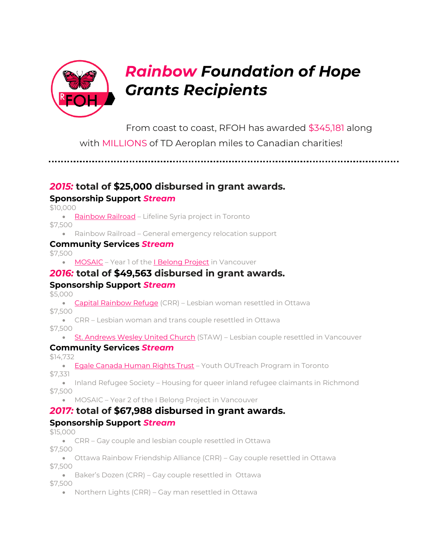

From coast to coast, RFOH has awarded \$345,181 along

with MILLIONS of TD Aeroplan miles to Canadian charities!

*2015:* **total of \$25,000 disbursed in grant awards.**

# **Sponsorship Support** *Stream*

\$10,000

• [Rainbow](http://www.rainbowrailroad.org/) Railroad – Lifeline Syria project in Toronto

\$7,500

• Rainbow Railroad – General emergency relocation support

### **Community Services** *Stream*

\$7,500

• [MOSAIC](http://www.mosaicbc.org/) - Year 1 of the *I [Belong](https://www.mosaicbc.org/news/lgbtq-project-receives-grant-provide-free-clinical-counselling-services/) Project* in Vancouver

# *2016:* **total of \$49,563 disbursed in grant awards.**

# **Sponsorship Support** *Stream*

\$5,000

• Capital [Rainbow](http://www.capitalrainbow.ca/) Refuge (CRR) – Lesbian woman resettled in Ottawa \$7,500

• CRR – Lesbian woman and trans couple resettled in Ottawa

\$7,500

• St. [Andrews](http://standrewswesley.com/) Wesley United Church (STAW) – Lesbian couple resettled in Vancouver

# **Community Services** *Stream*

\$14,732

• Egale [Canada](http://www.egalecentre.ca/) Human Rights Trust – Youth OUTreach Program in Toronto \$7,331

• Inland Refugee Society – Housing for queer inland refugee claimants in Richmond \$7,500

• MOSAIC – Year 2 of the I Belong Project in Vancouver

# *2017:* **total of \$67,988 disbursed in grant awards.**

# **Sponsorship Support** *Stream*

\$15,000

- CRR Gay couple and lesbian couple resettled in Ottawa \$7,500
- Ottawa Rainbow Friendship Alliance (CRR) Gay couple resettled in Ottawa \$7,500
- Baker's Dozen (CRR) Gay couple resettled in Ottawa \$7,500
	- Northern Lights (CRR) Gay man resettled in Ottawa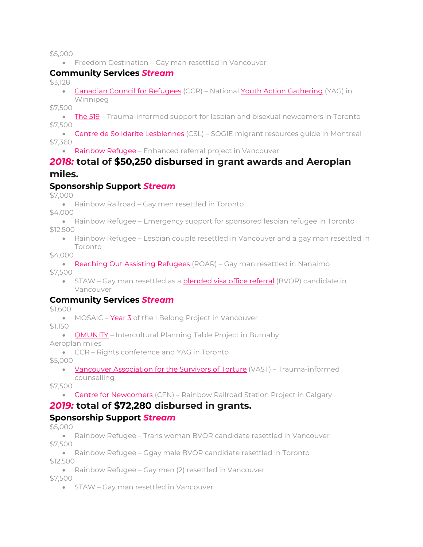#### \$5,000

• Freedom Destination – Gay man resettled in Vancouver

#### **Community Services** *Stream*

\$3,128

• [Canadian](http://www.ccrweb.ca/) Council for Refugees (CCR) – National Youth Action [Gathering](http://ccrweb.ca/en/youth/yag-2017) (YAG) in Winnipeg

\$7,500

• [The](http://www.the519.org/) 519 – Trauma-informed support for lesbian and bisexual newcomers in Toronto \$7,500

• Centre de Solidarite [Lesbiennes](https://www.solidaritelesbienne.qc.ca/) (CSL) – SOGIE migrant resources quide in Montreal \$7,360

• [Rainbow](http://rainbowrefugee.com/) Refugee – Enhanced referral project in Vancouver

## *2018:* **total of \$50,250 disbursed in grant awards and Aeroplan miles.**

### **Sponsorship Support** *Stream*

\$7,000

• Rainbow Railroad – Gay men resettled in Toronto

\$4,000

- Rainbow Refugee Emergency support for sponsored lesbian refugee in Toronto \$12,500
	- Rainbow Refugee Lesbian couple resettled in Vancouver and a gay man resettled in Toronto

\$4,000

• [Reaching](https://www.roarrefugees.com/) Out Assisting Refugees (ROAR) – Gay man resettled in Nanaimo

\$7,500

• STAW – Gay man resettled as a **[blended](http://www.rstp.ca/en/bvor/how-can-i-sponsor-a-refugee-to-canada/) visa office referral** (BVOR) candidate in Vancouver

#### **Community Services** *Stream*

\$1,600

• MOSAIC – [Year](https://www.mosaicbc.org/news/i-belong-program-raises-funds-for-lgbtq-newcomers-with-hope/) 3 of the I Belong Project in Vancouver

\$1,150

• [QMUNITY](https://qmunity.ca/) – Intercultural Planning Table Project in Burnaby

Aeroplan miles

• CCR – Rights conference and YAG in Toronto

\$5,000

• Vancouver [Association](http://vast-vancouver.ca/) for the Survivors of Torture (VAST) - Trauma-informed counselling

\$7,500

• Centre for [Newcomers](https://www.centrefornewcomers.ca/) (CFN) – Rainbow Railroad Station Project in Calgary

# *2019:* **total of \$72,280 disbursed in grants.**

### **Sponsorship Support** *Stream*

\$5,000

• Rainbow Refugee – Trans woman BVOR candidate resettled in Vancouver \$7,500

• Rainbow Refugee – Ggay male BVOR candidate resettled in Toronto \$12,500

• Rainbow Refugee – Gay men (2) resettled in Vancouver

\$7,500

• STAW – Gay man resettled in Vancouver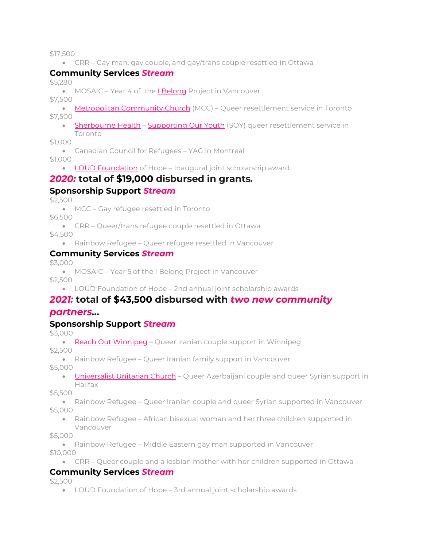\$17,500

• CRR – Gay man, gay couple, and gay/trans couple resettled in Ottawa

## **Community Services** *Stream*

\$5,280

• MOSAIC - Year 4 of the *I [Belong](https://www.mosaicbc.org/services/settlement/lgbtq/)* Project in Vancouver

\$7,500

• [Metropolitan](https://www.mcctoronto.com/) Community Church (MCC) – Queer resettlement service in Toronto \$7,500

• [Sherbourne](https://sherbourne.on.ca/) Health - [Supporting](https://soytoronto.com/) Our Youth (SOY) queer resettlement service in Toronto

\$1,000

• Canadian Council for Refugees – YAG in Montreal

\$1,000

• LOUD [Foundation](https://loudbusiness.com/LOUD-Foundation) of Hope – Inaugural joint scholarship award

## *2020:* **total of \$19,000 disbursed in grants***.*

### **Sponsorship Support** *Stream*

\$2,500

• MCC – Gay refugee resettled in Toronto

\$6,500

- CRR Queer/trans refugee couple resettled in Ottawa \$4,500
	- Rainbow Refugee Queer refugee resettled in Vancouver

### **Community Services** *Stream*

\$3,000

• MOSAIC – Year 5 of the I Belong Project in Vancouver \$2,500

• LOUD Foundation of Hope – 2nd annual joint scholarship awards

# *2021:* **total of \$43,500 disbursed with** *two new community*

### *partners…*

### **Sponsorship Support** *Stream*

\$3,000

Reach Out [Winnipeg](https://reachingoutwinnipeg.com/) - Queer Iranian couple support in Winnipeg

\$2,500

• Rainbow Refugee – Queer Iranian family support in Vancouver

\$5,000

• **[Universalist](https://uuch.ca/programs/socialresponsibility/refugee-sponsorship/) Unitarian Church** – Queer Azerbaijani couple and queer Syrian support in Halifax

\$5,500

- Rainbow Refugee Queer Iranian couple and queer Syrian supported in Vancouver \$5,000
	- Rainbow Refugee African bisexual woman and her three children supported in Vancouver

\$5,000

• Rainbow Refugee – Middle Eastern gay man supported in Vancouver

\$10,000

• CRR – Queer couple and a lesbian mother with her children supported in Ottawa

### **Community Services** *Stream*

\$2,500

• LOUD Foundation of Hope – 3rd annual joint scholarship awards